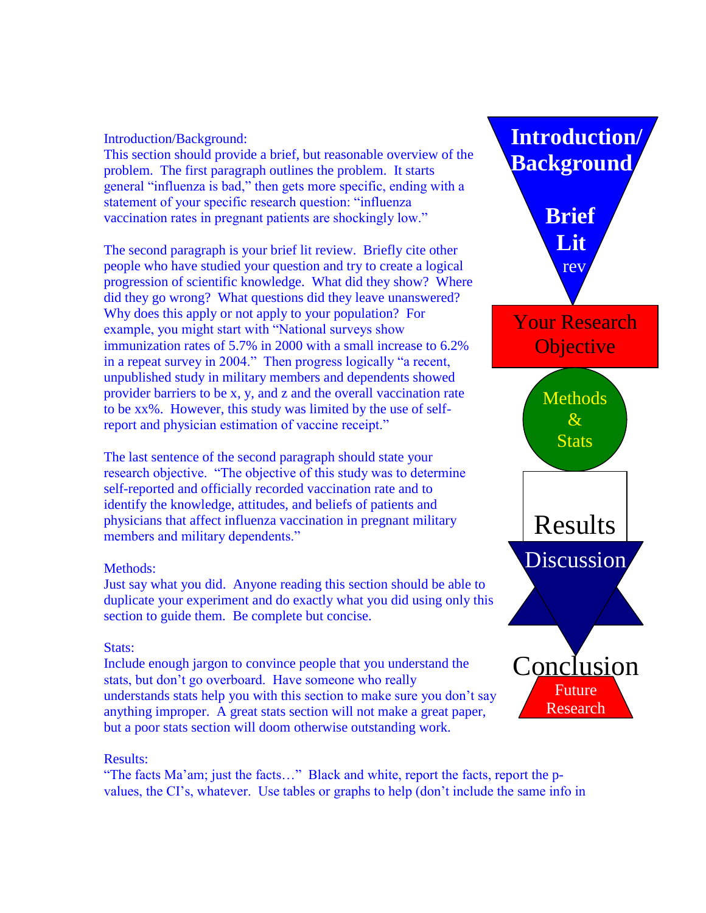### Introduction/Background:

This section should provide a brief, but reasonable overview of the problem. The first paragraph outlines the problem. It starts general "influenza is bad," then gets more specific, ending with a statement of your specific research question: "influenza vaccination rates in pregnant patients are shockingly low."

The second paragraph is your brief lit review. Briefly cite other people who have studied your question and try to create a logical progression of scientific knowledge. What did they show? Where did they go wrong? What questions did they leave unanswered? Why does this apply or not apply to your population? For example, you might start with "National surveys show immunization rates of 5.7% in 2000 with a small increase to 6.2% in a repeat survey in 2004." Then progress logically "a recent, unpublished study in military members and dependents showed provider barriers to be x, y, and z and the overall vaccination rate to be xx%. However, this study was limited by the use of selfreport and physician estimation of vaccine receipt."

The last sentence of the second paragraph should state your research objective. "The objective of this study was to determine self-reported and officially recorded vaccination rate and to identify the knowledge, attitudes, and beliefs of patients and physicians that affect influenza vaccination in pregnant military members and military dependents."

### Methods:

Just say what you did. Anyone reading this section should be able to duplicate your experiment and do exactly what you did using only this section to guide them. Be complete but concise.

## Stats:

Include enough jargon to convince people that you understand the stats, but don't go overboard. Have someone who really understands stats help you with this section to make sure you don't say anything improper. A great stats section will not make a great paper, but a poor stats section will doom otherwise outstanding work.

#### Results:

"The facts Ma'am; just the facts…" Black and white, report the facts, report the pvalues, the CI's, whatever. Use tables or graphs to help (don't include the same info in